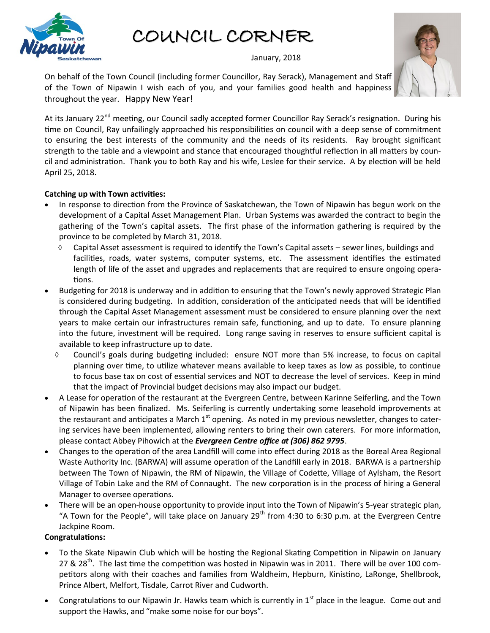

COUNCIL CORNER

January, 2018

On behalf of the Town Council (including former Councillor, Ray Serack), Management and Staff of the Town of Nipawin I wish each of you, and your families good health and happiness throughout the year. Happy New Year!

At its January 22<sup>nd</sup> meeting, our Council sadly accepted former Councillor Ray Serack's resignation. During his time on Council, Ray unfailingly approached his responsibilities on council with a deep sense of commitment to ensuring the best interests of the community and the needs of its residents. Ray brought significant strength to the table and a viewpoint and stance that encouraged thoughtful reflection in all matters by council and administration. Thank you to both Ray and his wife, Leslee for their service. A by election will be held April 25, 2018.

## **Catching up with Town activities:**

- In response to direction from the Province of Saskatchewan, the Town of Nipawin has begun work on the development of a Capital Asset Management Plan. Urban Systems was awarded the contract to begin the gathering of the Town's capital assets. The first phase of the information gathering is required by the province to be completed by March 31, 2018.
	- $\Diamond$  Capital Asset assessment is required to identify the Town's Capital assets sewer lines, buildings and facilities, roads, water systems, computer systems, etc. The assessment identifies the estimated length of life of the asset and upgrades and replacements that are required to ensure ongoing operations.
- Budgeting for 2018 is underway and in addition to ensuring that the Town's newly approved Strategic Plan is considered during budgeting. In addition, consideration of the anticipated needs that will be identified through the Capital Asset Management assessment must be considered to ensure planning over the next years to make certain our infrastructures remain safe, functioning, and up to date. To ensure planning into the future, investment will be required. Long range saving in reserves to ensure sufficient capital is available to keep infrastructure up to date.
	- Council's goals during budgeting included: ensure NOT more than 5% increase, to focus on capital planning over time, to utilize whatever means available to keep taxes as low as possible, to continue to focus base tax on cost of essential services and NOT to decrease the level of services. Keep in mind that the impact of Provincial budget decisions may also impact our budget.
- A Lease for operation of the restaurant at the Evergreen Centre, between Karinne Seiferling, and the Town of Nipawin has been finalized. Ms. Seiferling is currently undertaking some leasehold improvements at the restaurant and anticipates a March  $1<sup>st</sup>$  opening. As noted in my previous newsletter, changes to catering services have been implemented, allowing renters to bring their own caterers. For more information, please contact Abbey Pihowich at the *Evergreen Centre office at (306) 862 9795*.
- Changes to the operation of the area Landfill will come into effect during 2018 as the Boreal Area Regional Waste Authority Inc. (BARWA) will assume operation of the Landfill early in 2018. BARWA is a partnership between The Town of Nipawin, the RM of Nipawin, the Village of Codette, Village of Aylsham, the Resort Village of Tobin Lake and the RM of Connaught. The new corporation is in the process of hiring a General Manager to oversee operations.
- There will be an open-house opportunity to provide input into the Town of Nipawin's 5-year strategic plan, "A Town for the People", will take place on January 29<sup>th</sup> from 4:30 to 6:30 p.m. at the Evergreen Centre Jackpine Room.

## **Congratulations:**

- To the Skate Nipawin Club which will be hosting the Regional Skating Competition in Nipawin on January 27 & 28<sup>th</sup>. The last time the competition was hosted in Nipawin was in 2011. There will be over 100 competitors along with their coaches and families from Waldheim, Hepburn, Kinistino, LaRonge, Shellbrook, Prince Albert, Melfort, Tisdale, Carrot River and Cudworth.
- Congratulations to our Nipawin Jr. Hawks team which is currently in  $1<sup>st</sup>$  place in the league. Come out and support the Hawks, and "make some noise for our boys".